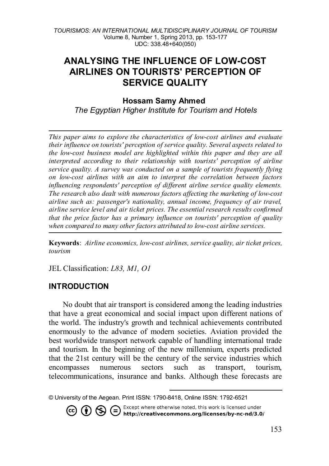# **ANALYSING THE INFLUENCE OF LOW-COST AIRLINES ON TOURISTS' PERCEPTION OF SERVICE QUALITY**

#### **Hossam Samy Ahmed**

*The Egyptian Higher Institute for Tourism and Hotels*

*This paper aims to explore the characteristics of low-cost airlines and evaluate their influence on tourists' perception of service quality. Several aspects related to the low-cost business model are highlighted within this paper and they are all interpreted according to their relationship with tourists' perception of airline service quality. A survey was conducted on a sample of tourists frequently flying on low-cost airlines with an aim to interpret the correlation between factors influencing respondents' perception of different airline service quality elements. The research also dealt with numerous factors affecting the marketing of low-cost airline such as: passenger's nationality, annual income, frequency of air travel, airline service level and air ticket prices. The essential research results confirmed that the price factor has a primary influence on tourists' perception of quality when compared to many other factors attributed to low-cost airline services.*

**Keywords**: *Airline economics, low-cost airlines, service quality, air ticket prices, tourism* 

JEL Classification: *L83, M1, O1*

#### **INTRODUCTION**

No doubt that air transport is considered among the leading industries that have a great economical and social impact upon different nations of the world. The industry's growth and technical achievements contributed enormously to the advance of modern societies. Aviation provided the best worldwide transport network capable of handling international trade and tourism. In the beginning of the new millennium, experts predicted that the 21st century will be the century of the service industries which encompasses numerous sectors such as transport, tourism, telecommunications, insurance and banks. Although these forecasts are

<span id="page-0-0"></span><sup>-</sup>© University of the Aegean. Print ISSN: 1790-8418, Online ISSN: 1792-6521

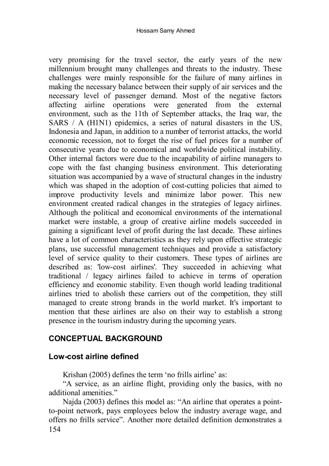very promising for the travel sector, the early years of the new millennium brought many challenges and threats to the industry. These challenges were mainly responsible for the failure of many airlines in making the necessary balance between their supply of air services and the necessary level of passenger demand. Most of the negative factors affecting airline operations were generated from the external environment, such as the 11th of September attacks, the Iraq war, the SARS / A (H1N1) epidemics, a series of natural disasters in the US, Indonesia and Japan, in addition to a number of terrorist attacks, the world economic recession, not to forget the rise of fuel prices for a number of consecutive years due to economical and worldwide political instability. Other internal factors were due to the incapability of airline managers to cope with the fast changing business environment. This deteriorating situation was accompanied by a wave of structural changes in the industry which was shaped in the adoption of cost-cutting policies that aimed to improve productivity levels and minimize labor power. This new environment created radical changes in the strategies of legacy airlines. Although the political and economical environments of the international market were instable, a group of creative airline models succeeded in gaining a significant level of profit during the last decade. These airlines have a lot of common characteristics as they rely upon effective strategic plans, use successful management techniques and provide a satisfactory level of service quality to their customers. These types of airlines are described as: 'low-cost airlines'. They succeeded in achieving what traditional / legacy airlines failed to achieve in terms of operation efficiency and economic stability. Even though world leading traditional airlines tried to abolish these carriers out of the competition, they still managed to create strong brands in the world market. It's important to mention that these airlines are also on their way to establish a strong presence in the tourism industry during the upcoming years.

# **CONCEPTUAL BACKGROUND**

### **Low-cost airline defined**

Krishan (2005) defines the term 'no frills airline' as:

"A service, as an airline flight, providing only the basics, with no additional amenities."

154 Najda (2003) defines this model as: "An airline that operates a pointto-point network, pays employees below the industry average wage, and offers no frills service". Another more detailed definition demonstrates a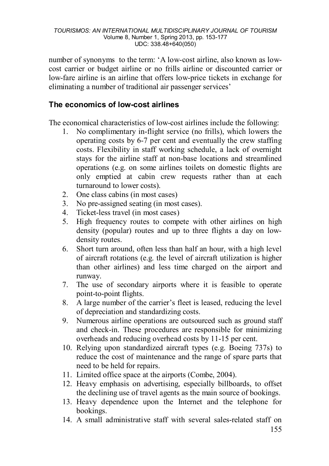number of synonyms to the term: 'A low-cost airline, also known as lowcost carrier or budget airline or no frills airline or discounted carrier or low-fare airline is an airline that offers low-price tickets in exchange for eliminating a number of traditional air passenger services'

## **The economics of low-cost airlines**

The economical characteristics of low-cost airlines include the following:

- 1. No complimentary in-flight service (no frills), which lowers the operating costs by 6-7 per cent and eventually the crew staffing costs. Flexibility in staff working schedule, a lack of overnight stays for the airline staff at non-base locations and streamlined operations (e.g. on some airlines toilets on domestic flights are only emptied at cabin crew requests rather than at each turnaround to lower costs).
- 2. One class cabins (in most cases)
- 3. No pre-assigned seating (in most cases).
- 4. Ticket-less travel (in most cases)
- 5. High frequency routes to compete with other airlines on high density (popular) routes and up to three flights a day on lowdensity routes.
- 6. Short turn around, often less than half an hour, with a high level of aircraft rotations (e.g. the level of aircraft utilization is higher than other airlines) and less time charged on the airport and runway.
- 7. The use of secondary airports where it is feasible to operate point-to-point flights.
- 8. A large number of the carrier's fleet is leased, reducing the level of depreciation and standardizing costs.
- 9. Numerous airline operations are outsourced such as ground staff and check-in. These procedures are responsible for minimizing overheads and reducing overhead costs by 11-15 per cent.
- 10. Relying upon standardized aircraft types (e.g. Boeing 737s) to reduce the cost of maintenance and the range of spare parts that need to be held for repairs.
- 11. Limited office space at the airports (Combe, 2004).
- 12. Heavy emphasis on advertising, especially billboards, to offset the declining use of travel agents as the main source of bookings.
- 13. Heavy dependence upon the Internet and the telephone for bookings.
- 14. A small administrative staff with several sales-related staff on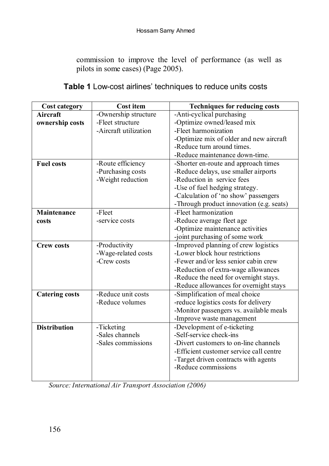commission to improve the level of performance (as well as pilots in some cases) (Page 2005).

| <b>Cost category</b>  | <b>Cost item</b>      | <b>Techniques for reducing costs</b>     |
|-----------------------|-----------------------|------------------------------------------|
| Aircraft              | -Ownership structure  | -Anti-cyclical purchasing                |
| ownership costs       | -Fleet structure      | -Optimize owned/leased mix               |
|                       | -Aircraft utilization | -Fleet harmonization                     |
|                       |                       | -Optimize mix of older and new aircraft  |
|                       |                       | -Reduce turn around times.               |
|                       |                       | -Reduce maintenance down-time.           |
| <b>Fuel costs</b>     | -Route efficiency     | -Shorter en-route and approach times     |
|                       | -Purchasing costs     | -Reduce delays, use smaller airports     |
|                       | -Weight reduction     | -Reduction in service fees               |
|                       |                       | -Use of fuel hedging strategy.           |
|                       |                       | -Calculation of 'no show' passengers     |
|                       |                       | -Through product innovation (e.g. seats) |
| Maintenance           | -Fleet                | -Fleet harmonization                     |
| costs                 | -service costs        | -Reduce average fleet age                |
|                       |                       | -Optimize maintenance activities         |
|                       |                       | -joint purchasing of some work           |
| <b>Crew costs</b>     | -Productivity         | -Improved planning of crew logistics     |
|                       | -Wage-related costs   | -Lower block hour restrictions           |
|                       | -Crew costs           | -Fewer and/or less senior cabin crew     |
|                       |                       | -Reduction of extra-wage allowances      |
|                       |                       | -Reduce the need for overnight stays.    |
|                       |                       | -Reduce allowances for overnight stays   |
| <b>Catering costs</b> | -Reduce unit costs    | -Simplification of meal choice           |
|                       | -Reduce volumes       | -reduce logistics costs for delivery     |
|                       |                       | -Monitor passengers vs. available meals  |
|                       |                       | -Improve waste management                |
| <b>Distribution</b>   | -Ticketing            | -Development of e-ticketing              |
|                       | -Sales channels       | -Self-service check-ins                  |
|                       | -Sales commissions    | -Divert customers to on-line channels    |
|                       |                       | -Efficient customer service call centre  |
|                       |                       | -Target driven contracts with agents     |
|                       |                       | -Reduce commissions                      |
|                       |                       |                                          |

*Source: International Air Transport Association (2006)*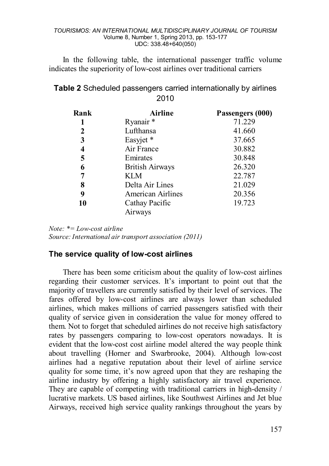In the following table, the international passenger traffic volume indicates the superiority of low-cost airlines over traditional carriers

| Table 2 Scheduled passengers carried internationally by airlines |  |
|------------------------------------------------------------------|--|
| 2010                                                             |  |

| Rank | <b>Airline</b>         | Passengers (000) |
|------|------------------------|------------------|
|      | Ryanair <sup>*</sup>   | 71.229           |
| 2    | Lufthansa              | 41.660           |
| 3    | Easyjet *              | 37.665           |
| 4    | Air France             | 30.882           |
| 5    | Emirates               | 30.848           |
| 6    | <b>British Airways</b> | 26.320           |
| 7    | KLM                    | 22.787           |
| 8    | Delta Air Lines        | 21.029           |
| 9    | American Airlines      | 20.356           |
| 10   | Cathay Pacific         | 19.723           |
|      | Airways                |                  |

*Note: \*= Low-cost airline Source: International air transport association (2011)*

#### **The service quality of low-cost airlines**

There has been some criticism about the quality of low-cost airlines regarding their customer services. It's important to point out that the majority of travellers are currently satisfied by their level of services. The fares offered by low-cost airlines are always lower than scheduled airlines, which makes millions of carried passengers satisfied with their quality of service given in consideration the value for money offered to them. Not to forget that scheduled airlines do not receive high satisfactory rates by passengers comparing to low-cost operators nowadays. It is evident that the low-cost cost airline model altered the way people think about travelling (Horner and Swarbrooke, 2004). Although low-cost airlines had a negative reputation about their level of airline service quality for some time, it's now agreed upon that they are reshaping the airline industry by offering a highly satisfactory air travel experience. They are capable of competing with traditional carriers in high-density / lucrative markets. US based airlines, like Southwest Airlines and Jet blue Airways, received high service quality rankings throughout the years by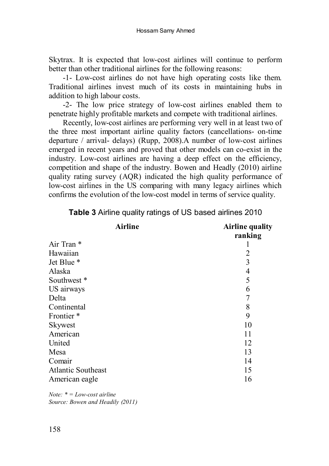Skytrax. It is expected that low-cost airlines will continue to perform better than other traditional airlines for the following reasons:

-1- Low-cost airlines do not have high operating costs like them. Traditional airlines invest much of its costs in maintaining hubs in addition to high labour costs.

-2- The low price strategy of low-cost airlines enabled them to penetrate highly profitable markets and compete with traditional airlines.

Recently, low-cost airlines are performing very well in at least two of the three most important airline quality factors (cancellations- on-time departure / arrival- delays) (Rupp, 2008).A number of low-cost airlines emerged in recent years and proved that other models can co-exist in the industry. Low-cost airlines are having a deep effect on the efficiency, competition and shape of the industry. Bowen and Headly (2010) airline quality rating survey (AQR) indicated the high quality performance of low-cost airlines in the US comparing with many legacy airlines which confirms the evolution of the low-cost model in terms of service quality.

| <b>Airline</b>            | <b>Airline quality</b> |
|---------------------------|------------------------|
|                           | ranking                |
| Air Tran *                |                        |
| Hawaiian                  | 2                      |
| Jet Blue *                | 3                      |
| Alaska                    | 4                      |
| Southwest *               | 5                      |
| US airways                | 6                      |
| Delta                     |                        |
| Continental               | 8                      |
| Frontier*                 | 9                      |
| Skywest                   | 10                     |
| American                  | 11                     |
| United                    | 12                     |
| Mesa                      | 13                     |
| Comair                    | 14                     |
| <b>Atlantic Southeast</b> | 15                     |
| American eagle            | 16                     |
|                           |                        |

**Table 3** Airline quality ratings of US based airlines 2010

*Note: \* = Low-cost airline Source: Bowen and Headily (2011)*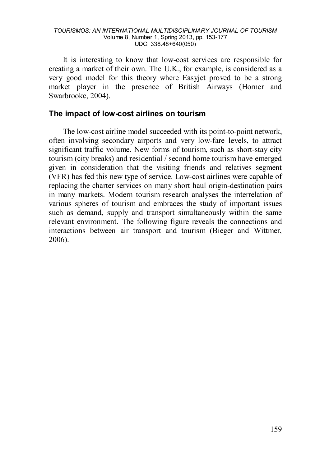It is interesting to know that low-cost services are responsible for creating a market of their own. The U.K., for example, is considered as a very good model for this theory where Easyjet proved to be a strong market player in the presence of British Airways (Horner and Swarbrooke, 2004).

#### **The impact of low-cost airlines on tourism**

The low-cost airline model succeeded with its point-to-point network, often involving secondary airports and very low-fare levels, to attract significant traffic volume. New forms of tourism, such as short-stay city tourism (city breaks) and residential / second home tourism have emerged given in consideration that the visiting friends and relatives segment (VFR) has fed this new type of service. Low-cost airlines were capable of replacing the charter services on many short haul origin-destination pairs in many markets. Modern tourism research analyses the interrelation of various spheres of tourism and embraces the study of important issues such as demand, supply and transport simultaneously within the same relevant environment. The following figure reveals the connections and interactions between air transport and tourism (Bieger and Wittmer, 2006).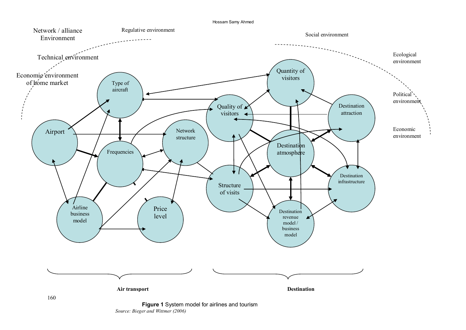



**Figure 1** System model for airlines and tourism *Source: Bieger and Wittmer (2006)*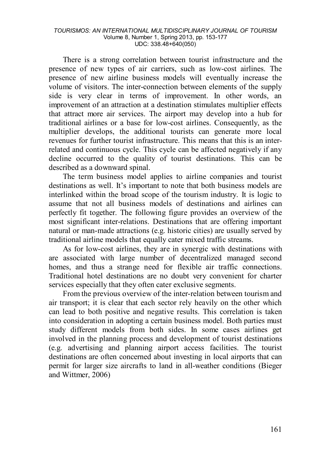There is a strong correlation between tourist infrastructure and the presence of new types of air carriers, such as low-cost airlines. The presence of new airline business models will eventually increase the volume of visitors. The inter-connection between elements of the supply side is very clear in terms of improvement. In other words, an improvement of an attraction at a destination stimulates multiplier effects that attract more air services. The airport may develop into a hub for traditional airlines or a base for low-cost airlines. Consequently, as the multiplier develops, the additional tourists can generate more local revenues for further tourist infrastructure. This means that this is an interrelated and continuous cycle. This cycle can be affected negatively if any decline occurred to the quality of tourist destinations. This can be described as a downward spinal.

The term business model applies to airline companies and tourist destinations as well. It's important to note that both business models are interlinked within the broad scope of the tourism industry. It is logic to assume that not all business models of destinations and airlines can perfectly fit together. The following figure provides an overview of the most significant inter-relations. Destinations that are offering important natural or man-made attractions (e.g. historic cities) are usually served by traditional airline models that equally cater mixed traffic streams.

As for low-cost airlines, they are in synergic with destinations with are associated with large number of decentralized managed second homes, and thus a strange need for flexible air traffic connections. Traditional hotel destinations are no doubt very convenient for charter services especially that they often cater exclusive segments.

From the previous overview of the inter-relation between tourism and air transport; it is clear that each sector rely heavily on the other which can lead to both positive and negative results. This correlation is taken into consideration in adopting a certain business model. Both parties must study different models from both sides. In some cases airlines get involved in the planning process and development of tourist destinations (e.g. advertising and planning airport access facilities. The tourist destinations are often concerned about investing in local airports that can permit for larger size aircrafts to land in all-weather conditions (Bieger and Wittmer, 2006)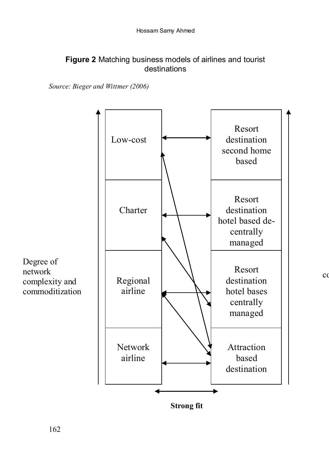### **Figure 2** Matching business models of airlines and tourist destinations

*Source: Bieger and Wittmer (2006)*



 $\alpha$ 

**Strong fit**

Degree of network complexity and commoditization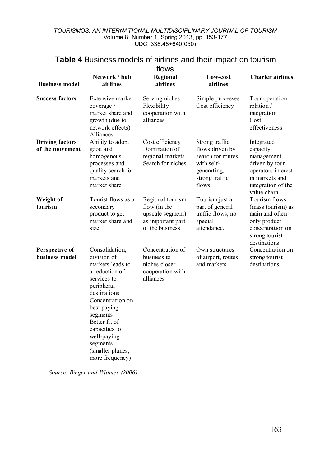# **Table 4** Business models of airlines and their impact on tourism

| flows                                     |                                                                                                                                                                                                                                                                     |                                                                                              |                                                                                                                 |                                                                                                                                      |  |  |
|-------------------------------------------|---------------------------------------------------------------------------------------------------------------------------------------------------------------------------------------------------------------------------------------------------------------------|----------------------------------------------------------------------------------------------|-----------------------------------------------------------------------------------------------------------------|--------------------------------------------------------------------------------------------------------------------------------------|--|--|
| <b>Business model</b>                     | Network / hub<br>airlines                                                                                                                                                                                                                                           | Regional<br>airlines                                                                         | Low-cost<br>airlines                                                                                            | <b>Charter airlines</b>                                                                                                              |  |  |
| <b>Success factors</b>                    | Extensive market<br>coverage /<br>market share and<br>growth (due to<br>network effects)<br>Alliances                                                                                                                                                               | Serving niches<br>Flexibility<br>cooperation with<br>alliances                               | Simple processes<br>Cost efficiency                                                                             | Tour operation<br>relation /<br>integration<br>Cost<br>effectiveness                                                                 |  |  |
| <b>Driving factors</b><br>of the movement | Ability to adopt<br>good and<br>homogenous<br>processes and<br>quality search for<br>markets and<br>market share                                                                                                                                                    | Cost efficiency<br>Domination of<br>regional markets<br>Search for niches                    | Strong traffic<br>flows driven by<br>search for routes<br>with self-<br>generating,<br>strong traffic<br>flows. | Integrated<br>capacity<br>management<br>driven by tour<br>operators interest<br>in markets and<br>integration of the<br>value chain. |  |  |
| Weight of<br>tourism                      | Tourist flows as a<br>secondary<br>product to get<br>market share and<br>size                                                                                                                                                                                       | Regional tourism<br>flow (in the<br>upscale segment)<br>as important part<br>of the business | Tourism just a<br>part of general<br>traffic flows, no<br>special<br>attendance.                                | Tourism flows<br>(mass tourism) as<br>main and often<br>only product<br>concentration on<br>strong tourist<br>destinations           |  |  |
| Perspective of<br>business model          | Consolidation,<br>division of<br>markets leads to<br>a reduction of<br>services to<br>peripheral<br>destinations<br>Concentration on<br>best paying<br>segments<br>Better fit of<br>capacities to<br>well-paying<br>segments<br>(smaller planes,<br>more frequency) | Concentration of<br>business to<br>niches closer<br>cooperation with<br>alliances            | Own structures<br>of airport, routes<br>and markets                                                             | Concentration on<br>strong tourist<br>destinations                                                                                   |  |  |

*Source: Bieger and Wittmer (2006)*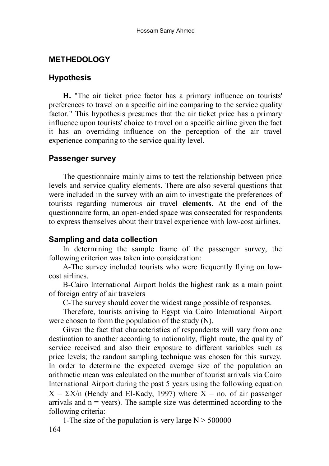### **METHEDOLOGY**

### **Hypothesis**

**H.** "The air ticket price factor has a primary influence on tourists' preferences to travel on a specific airline comparing to the service quality factor." This hypothesis presumes that the air ticket price has a primary influence upon tourists' choice to travel on a specific airline given the fact it has an overriding influence on the perception of the air travel experience comparing to the service quality level.

#### **Passenger survey**

The questionnaire mainly aims to test the relationship between price levels and service quality elements. There are also several questions that were included in the survey with an aim to investigate the preferences of tourists regarding numerous air travel **elements**. At the end of the questionnaire form, an open-ended space was consecrated for respondents to express themselves about their travel experience with low-cost airlines.

### **Sampling and data collection**

In determining the sample frame of the passenger survey, the following criterion was taken into consideration:

A-The survey included tourists who were frequently flying on lowcost airlines.

B-Cairo International Airport holds the highest rank as a main point of foreign entry of air travelers

C-The survey should cover the widest range possible of responses.

Therefore, tourists arriving to Egypt via Cairo International Airport were chosen to form the population of the study (N).

Given the fact that characteristics of respondents will vary from one destination to another according to nationality, flight route, the quality of service received and also their exposure to different variables such as price levels; the random sampling technique was chosen for this survey. In order to determine the expected average size of the population an arithmetic mean was calculated on the number of tourist arrivals via Cairo International Airport during the past 5 years using the following equation  $X = \Sigma X/n$  (Hendy and El-Kady, 1997) where  $X = n$ o. of air passenger arrivals and  $n = \text{years}$ ). The sample size was determined according to the following criteria:

164 1-The size of the population is very large  $N > 500000$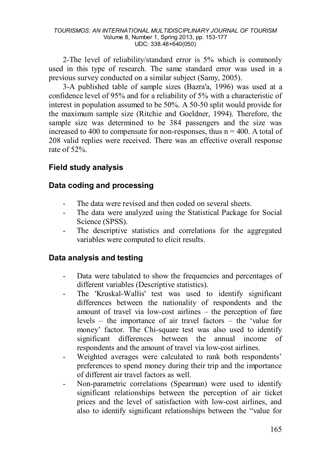2-The level of reliability/standard error is 5% which is commonly used in this type of research. The same standard error was used in a previous survey conducted on a similar subject (Samy, 2005).

3-A published table of sample sizes (Bazra'a, 1996) was used at a confidence level of 95% and for a reliability of 5% with a characteristic of interest in population assumed to be 50%. A 50-50 split would provide for the maximum sample size (Ritchie and Goeldner, 1994). Therefore, the sample size was determined to be 384 passengers and the size was increased to 400 to compensate for non-responses, thus  $n = 400$ . A total of 208 valid replies were received. There was an effective overall response rate of 52%.

## **Field study analysis**

### **Data coding and processing**

- The data were revised and then coded on several sheets.
- The data were analyzed using the Statistical Package for Social Science (SPSS).
- The descriptive statistics and correlations for the aggregated variables were computed to elicit results.

### **Data analysis and testing**

- Data were tabulated to show the frequencies and percentages of different variables (Descriptive statistics).
- The 'Kruskal-Wallis' test was used to identify significant differences between the nationality of respondents and the amount of travel via low-cost airlines – the perception of fare levels – the importance of air travel factors – the 'value for money' factor. The Chi-square test was also used to identify significant differences between the annual income of respondents and the amount of travel via low-cost airlines.
- Weighted averages were calculated to rank both respondents' preferences to spend money during their trip and the importance of different air travel factors as well.
- Non-parametric correlations (Spearman) were used to identify significant relationships between the perception of air ticket prices and the level of satisfaction with low-cost airlines, and also to identify significant relationships between the "value for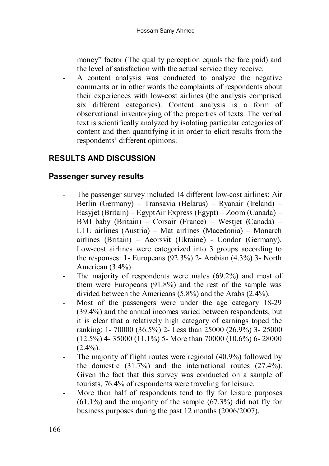money" factor (The quality perception equals the fare paid) and the level of satisfaction with the actual service they receive.

- A content analysis was conducted to analyze the negative comments or in other words the complaints of respondents about their experiences with low-cost airlines (the analysis comprised six different categories). Content analysis is a form of observational inventorying of the properties of texts. The verbal text is scientifically analyzed by isolating particular categories of content and then quantifying it in order to elicit results from the respondents' different opinions.

# **RESULTS AND DISCUSSION**

### **Passenger survey results**

- The passenger survey included 14 different low-cost airlines: Air Berlin (Germany) – Transavia (Belarus) – Ryanair (Ireland) – Easyjet (Britain) – EgyptAir Express (Egypt) – Zoom (Canada) – BMI baby (Britain) – Corsair (France) – Westjet (Canada) – LTU airlines (Austria) – Mat airlines (Macedonia) – Monarch airlines (Britain) – Aeorsvit (Ukraine) - Condor (Germany). Low-cost airlines were categorized into 3 groups according to the responses: 1- Europeans  $(92.3\%)$  2- Arabian  $(4.3\%)$  3- North American (3.4%)
- The majority of respondents were males  $(69.2\%)$  and most of them were Europeans (91.8%) and the rest of the sample was divided between the Americans (5.8%) and the Arabs (2.4%).
- Most of the passengers were under the age category 18-29 (39.4%) and the annual incomes varied between respondents, but it is clear that a relatively high category of earnings toped the ranking: 1- 70000 (36.5%) 2- Less than 25000 (26.9%) 3- 25000  $(12.5\%)$  4- 35000  $(11.1\%)$  5- More than 70000  $(10.6\%)$  6- 28000  $(2.4\%)$ .
- The majority of flight routes were regional (40.9%) followed by the domestic (31.7%) and the international routes (27.4%). Given the fact that this survey was conducted on a sample of tourists, 76.4% of respondents were traveling for leisure.
- More than half of respondents tend to fly for leisure purposes  $(61.1\%)$  and the majority of the sample  $(67.3\%)$  did not fly for business purposes during the past 12 months (2006/2007).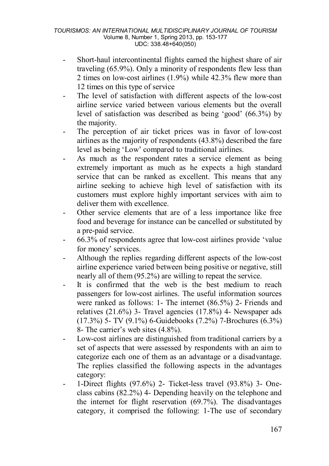- Short-haul intercontinental flights earned the highest share of air traveling (65.9%). Only a minority of respondents flew less than 2 times on low-cost airlines (1.9%) while 42.3% flew more than 12 times on this type of service
- The level of satisfaction with different aspects of the low-cost airline service varied between various elements but the overall level of satisfaction was described as being 'good' (66.3%) by the majority.
- The perception of air ticket prices was in favor of low-cost airlines as the majority of respondents (43.8%) described the fare level as being 'Low' compared to traditional airlines.
- As much as the respondent rates a service element as being extremely important as much as he expects a high standard service that can be ranked as excellent. This means that any airline seeking to achieve high level of satisfaction with its customers must explore highly important services with aim to deliver them with excellence.
- Other service elements that are of a less importance like free food and beverage for instance can be cancelled or substituted by a pre-paid service.
- 66.3% of respondents agree that low-cost airlines provide 'value for money' services.
- Although the replies regarding different aspects of the low-cost airline experience varied between being positive or negative, still nearly all of them (95.2%) are willing to repeat the service.
- It is confirmed that the web is the best medium to reach passengers for low-cost airlines. The useful information sources were ranked as follows: 1- The internet (86.5%) 2- Friends and relatives (21.6%) 3- Travel agencies (17.8%) 4- Newspaper ads (17.3%) 5- TV (9.1%) 6-Guidebooks (7.2%) 7-Brochures (6.3%) 8- The carrier's web sites (4.8%).
- Low-cost airlines are distinguished from traditional carriers by a set of aspects that were assessed by respondents with an aim to categorize each one of them as an advantage or a disadvantage. The replies classified the following aspects in the advantages category:
- 1-Direct flights (97.6%) 2- Ticket-less travel (93.8%) 3- Oneclass cabins (82.2%) 4- Depending heavily on the telephone and the internet for flight reservation (69.7%). The disadvantages category, it comprised the following: 1-The use of secondary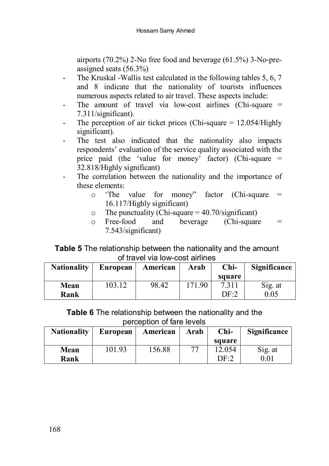airports (70.2%) 2-No free food and beverage (61.5%) 3-No-preassigned seats (56.3%)

- The Kruskal -Wallis test calculated in the following tables 5, 6, 7 and 8 indicate that the nationality of tourists influences numerous aspects related to air travel. These aspects include:
- The amount of travel via low-cost airlines (Chi-square = 7.311/significant).
- The perception of air ticket prices (Chi-square = 12.054/Highly significant).
- The test also indicated that the nationality also impacts respondents' evaluation of the service quality associated with the price paid (the 'value for money' factor) (Chi-square = 32.818/Highly significant)
- The correlation between the nationality and the importance of these elements:
	- o 'The value for money" factor (Chi-square = 16.117/Highly significant)
	- $\circ$  The punctuality (Chi-square = 40.70/significant)<br> $\circ$  Free-food and beverage (Chi-square
	- $b$ everage (Chi-square  $=$ 7.543/significant)

### **Table 5** The relationship between the nationality and the amount of travel via low-cost airlines

| <b>Nationality</b> | European | American | Arab   | Chi-            | Significance |
|--------------------|----------|----------|--------|-----------------|--------------|
|                    |          |          |        | square          |              |
| Mean               | 103.12   | 98.42    | 171.90 | 7.311           | Sig. at      |
| Rank               |          |          |        | DF <sub>2</sub> | 0.05         |

### **Table 6** The relationship between the nationality and the perception of fare levels

| <b>Nationality</b> | European | American | Arab | $Chi-$ | Significance |
|--------------------|----------|----------|------|--------|--------------|
|                    |          |          |      | square |              |
| Mean               | 101.93   | 156.88   |      | 12.054 | Sig. at      |
| Rank               |          |          |      | DF 2   | 0.01         |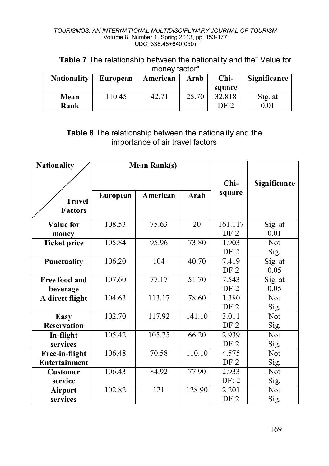**Table 7** The relationship between the nationality and the" Value for money factor"

| <b>Nationality</b> | European | American | Arab  | $Chi-$ | Significance |
|--------------------|----------|----------|-------|--------|--------------|
|                    |          |          |       | square |              |
| Mean               | 110.45   | 42.71    | 25.70 | 32.818 | Sig. at      |
| Rank               |          |          |       | DF 2   | 0.01         |

## **Table 8** The relationship between the nationality and the importance of air travel factors

| <b>Nationality</b>              |          | <b>Mean Rank(s)</b> |        |                 |                    |
|---------------------------------|----------|---------------------|--------|-----------------|--------------------|
|                                 |          |                     | Chi-   | Significance    |                    |
| <b>Travel</b><br><b>Factors</b> | European | American            | Arab   | square          |                    |
| <b>Value</b> for<br>money       | 108.53   | 75.63               | 20     | 161.117<br>DF:2 | Sig. at<br>0.01    |
| <b>Ticket price</b>             | 105.84   | 95.96               | 73.80  | 1.903<br>DF:2   | <b>Not</b><br>Sig. |
| <b>Punctuality</b>              | 106.20   | 104                 | 40.70  | 7.419<br>DF:2   | Sig. at<br>0.05    |
| Free food and<br>beverage       | 107.60   | 77.17               | 51.70  | 7.543<br>DF:2   | Sig. at<br>0.05    |
| A direct flight                 | 104.63   | 113.17              | 78.60  | 1.380<br>DF:2   | <b>Not</b><br>Sig. |
| Easy<br><b>Reservation</b>      | 102.70   | 117.92              | 141.10 | 3.011<br>DF:2   | Not<br>Sig.        |
| In-flight<br>services           | 105.42   | 105.75              | 66.20  | 2.939<br>DF:2   | <b>Not</b><br>Sig. |
| Free-in-flight<br>Entertainment | 106.48   | 70.58               | 110.10 | 4.575<br>DF:2   | Not<br>Sig.        |
| <b>Customer</b><br>service      | 106.43   | 84.92               | 77.90  | 2.933<br>DF: 2  | <b>Not</b><br>Sig. |
| Airport<br>services             | 102.82   | 121                 | 128.90 | 2.201<br>DF:2   | <b>Not</b><br>Sig. |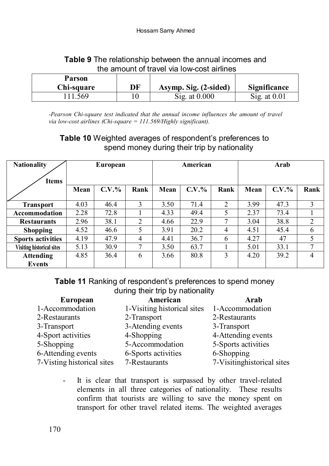| Table 9 The relationship between the annual incomes and |  |
|---------------------------------------------------------|--|
| the amount of travel via low-cost airlines              |  |

| Parson<br>Chi-square | DF | Asymp. Sig. (2-sided)   | <b>Significance</b>    |
|----------------------|----|-------------------------|------------------------|
| 111.569              |    | $\text{Sig. at } 0.000$ | $\text{Sig. at } 0.01$ |

*-Pearson Chi-square test indicated that the annual income influences the amount of travel via low-cost airlines (Chi-square = 111.569/Highly significant).*

## **Table 10** Weighted averages of respondent's preferences to spend money during their trip by nationality

| <b>Nationality</b>               | European |          |                | American |          |                | Arab |          |                |
|----------------------------------|----------|----------|----------------|----------|----------|----------------|------|----------|----------------|
| <b>Items</b>                     |          |          |                |          |          |                |      |          |                |
|                                  | Mean     | $C.V.$ % | Rank           | Mean     | $C.V.$ % | Rank           | Mean | $C.V.$ % | Rank           |
| <b>Transport</b>                 | 4.03     | 46.4     | 3              | 3.50     | 71.4     | 2              | 3.99 | 47.3     | 3              |
| <b>Accommodation</b>             | 2.28     | 72.8     |                | 4.33     | 49.4     | 5              | 2.37 | 73.4     |                |
| <b>Restaurants</b>               | 2.96     | 38.1     | $\mathfrak{D}$ | 4.66     | 22.9     | 7              | 3.04 | 38.8     | $\overline{c}$ |
| <b>Shopping</b>                  | 4.52     | 46.6     | 5              | 3.91     | 20.2     | $\overline{4}$ | 4.51 | 45.4     | 6              |
| <b>Sports activities</b>         | 4.19     | 47.9     | 4              | 4.41     | 36.7     | 6              | 4.27 | 47       | 5              |
| <b>Visiting historical sites</b> | 5.13     | 30.9     | 7              | 3.50     | 63.7     |                | 5.01 | 33.1     | 7              |
| <b>Attending</b>                 | 4.85     | 36.4     | 6              | 3.66     | 80.8     | 3              | 4.20 | 39.2     | $\overline{4}$ |
| Events                           |          |          |                |          |          |                |      |          |                |

**Table 11** Ranking of respondent's preferences to spend money during their trip by nationality

| European                   | American                    | Arab                       |
|----------------------------|-----------------------------|----------------------------|
| 1-Accommodation            | 1-Visiting historical sites | 1-Accommodation            |
| 2-Restaurants              | 2-Transport                 | 2-Restaurants              |
| 3-Transport                | 3-Atending events           | 3-Transport                |
| 4-Sport activities         | 4-Shopping                  | 4-Attending events         |
| 5-Shopping                 | 5-Accommodation             | 5-Sports activities        |
| 6-Attending events         | 6-Sports activities         | 6-Shopping                 |
| 7-Visting historical sites | 7-Restaurants               | 7-Visitinghistorical sites |

- It is clear that transport is surpassed by other travel-related elements in all three categories of nationality. These results confirm that tourists are willing to save the money spent on transport for other travel related items. The weighted averages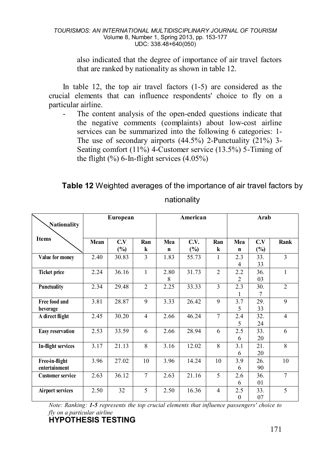also indicated that the degree of importance of air travel factors that are ranked by nationality as shown in table 12.

In table 12, the top air travel factors (1-5) are considered as the crucial elements that can influence respondents' choice to fly on a particular airline.

The content analysis of the open-ended questions indicate that the negative comments (complaints) about low-cost airline services can be summarized into the following 6 categories: 1- The use of secondary airports (44.5%) 2-Punctuality (21%) 3- Seating comfort (11%) 4-Customer service (13.5%) 5-Timing of the flight  $(\%)$  6-In-flight services  $(4.05\%)$ 

**Table 12** Weighted averages of the importance of air travel factors by

|                         | European |        | American       |      |        | Arab           |                |        |                |
|-------------------------|----------|--------|----------------|------|--------|----------------|----------------|--------|----------------|
| Nationality             |          |        |                |      |        |                |                |        |                |
| <b>Items</b>            |          |        |                |      |        |                |                |        |                |
|                         | Mean     | C.V    | Ran            | Mea  | C.V.   | Ran            | Mea            | C.V    | Rank           |
|                         |          | $(\%)$ | k              | n    | $(\%)$ | k              | $\mathbf n$    | $(\%)$ |                |
| Value for money         | 2.40     | 30.83  | 3              | 1.83 | 55.73  | 1              | 2.3            | 33.    | 3              |
|                         |          |        |                |      |        |                | 4              | 33     |                |
| <b>Ticket price</b>     | 2.24     | 36.16  | 1              | 2.80 | 31.73  | $\overline{c}$ | 2.2            | 36.    | 1              |
|                         |          |        |                | 8    |        |                | $\overline{c}$ | 03     |                |
| Punctuality             | 2.34     | 29.48  | $\overline{c}$ | 2.25 | 33.33  | 3              | 2.3            | 30.    | $\overline{c}$ |
|                         |          |        |                |      |        |                | 1              | 7      |                |
| Free food and           | 3.81     | 28.87  | 9              | 3.33 | 26.42  | 9              | 3.7            | 29.    | 9              |
| beverage                |          |        |                |      |        |                | 5              | 33     |                |
| A direct flight         | 2.45     | 30.20  | $\overline{4}$ | 2.66 | 46.24  | $\overline{7}$ | 2.4            | 32.    | $\overline{4}$ |
|                         |          |        |                |      |        |                | 5              | 24     |                |
| <b>Easy reservation</b> | 2.53     | 33.59  | 6              | 2.66 | 28.94  | 6              | 2.5            | 33.    | 6              |
|                         |          |        |                |      |        |                | 6              | 20     |                |
| In-flight services      | 3.17     | 21.13  | 8              | 3.16 | 12.02  | 8              | 3.1            | 21.    | 8              |
|                         |          |        |                |      |        |                | 6              | 20     |                |
| Free-in-flight          | 3.96     | 27.02  | 10             | 3.96 | 14.24  | 10             | 3.9            | 26.    | 10             |
| entertainment           |          |        |                |      |        |                | 6              | 90     |                |
| <b>Customer service</b> | 2.63     | 36.12  | $\overline{7}$ | 2.63 | 21.16  | 5              | 2.6            | 36.    | $\overline{7}$ |
|                         |          |        |                |      |        |                | 6              | 01     |                |
| <b>Airport services</b> | 2.50     | 32     | 5              | 2.50 | 16.36  | 4              | 2.5            | 33.    | 5              |
|                         |          |        |                |      |        |                | $\mathbf{0}$   | 07     |                |

nationality

*Note: Ranking: 1-5 represents the top crucial elements that influence passengers' choice to fly on a particular airline*

# **HYPOTHESIS TESTING**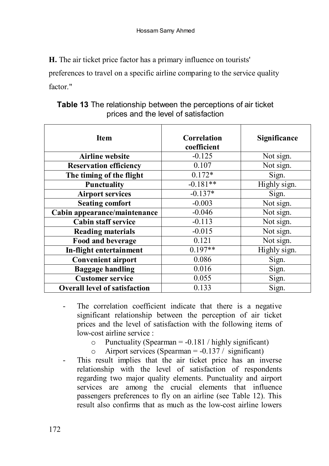**H.** The air ticket price factor has a primary influence on tourists'

preferences to travel on a specific airline comparing to the service quality factor."

| <b>Item</b>                          | Correlation<br>coefficient | Significance |
|--------------------------------------|----------------------------|--------------|
| <b>Airline</b> website               | $-0.125$                   | Not sign.    |
| <b>Reservation efficiency</b>        | 0.107                      | Not sign.    |
| The timing of the flight             | $0.172*$                   | Sign.        |
| <b>Punctuality</b>                   | $-0.181**$                 | Highly sign. |
| <b>Airport services</b>              | $-0.137*$                  | Sign.        |
| <b>Seating comfort</b>               | $-0.003$                   | Not sign.    |
| Cabin appearance/maintenance         | $-0.046$                   | Not sign.    |
| <b>Cabin staff service</b>           | $-0.113$                   | Not sign.    |
| <b>Reading materials</b>             | $-0.015$                   | Not sign.    |
| Food and beverage                    | 0.121                      | Not sign.    |
| In-flight entertainment              | $0.197**$                  | Highly sign. |
| <b>Convenient airport</b>            | 0.086                      | Sign.        |
| <b>Baggage handling</b>              | 0.016                      | Sign.        |
| <b>Customer service</b>              | 0.055                      | Sign.        |
| <b>Overall level of satisfaction</b> | 0.133                      | Sign.        |

**Table 13** The relationship between the perceptions of air ticket prices and the level of satisfaction

- The correlation coefficient indicate that there is a negative significant relationship between the perception of air ticket prices and the level of satisfaction with the following items of low-cost airline service :
	- o Punctuality (Spearman = -0.181 / highly significant)<br>  $\circ$  Airport services (Spearman = -0.137 / significant)
	- Airport services (Spearman =  $-0.137/$  significant)
- This result implies that the air ticket price has an inverse relationship with the level of satisfaction of respondents regarding two major quality elements. Punctuality and airport services are among the crucial elements that influence passengers preferences to fly on an airline (see Table 12). This result also confirms that as much as the low-cost airline lowers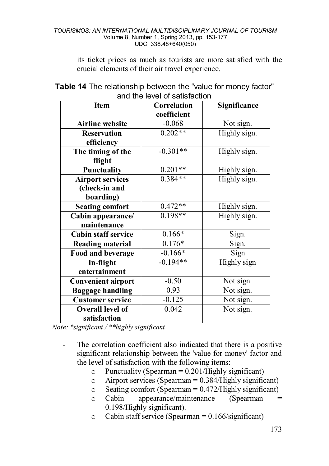its ticket prices as much as tourists are more satisfied with the crucial elements of their air travel experience.

| and the level of satisfaction |                            |              |  |  |  |  |  |  |
|-------------------------------|----------------------------|--------------|--|--|--|--|--|--|
| <b>Item</b>                   | Correlation<br>coefficient | Significance |  |  |  |  |  |  |
|                               | $-0.068$                   |              |  |  |  |  |  |  |
| <b>Airline</b> website        |                            | Not sign.    |  |  |  |  |  |  |
| <b>Reservation</b>            | $0.202**$                  | Highly sign. |  |  |  |  |  |  |
| efficiency                    |                            |              |  |  |  |  |  |  |
| The timing of the             | $-0.301**$                 | Highly sign. |  |  |  |  |  |  |
| flight                        |                            |              |  |  |  |  |  |  |
| Punctuality                   | $0.201**$                  | Highly sign. |  |  |  |  |  |  |
| <b>Airport services</b>       | $0.384**$                  | Highly sign. |  |  |  |  |  |  |
| (check-in and                 |                            |              |  |  |  |  |  |  |
| boarding)                     |                            |              |  |  |  |  |  |  |
| <b>Seating comfort</b>        | $0.472**$                  | Highly sign. |  |  |  |  |  |  |
| Cabin appearance/             | $0.198**$                  | Highly sign. |  |  |  |  |  |  |
| maintenance                   |                            |              |  |  |  |  |  |  |
| <b>Cabin staff service</b>    | $0.166*$                   | Sign.        |  |  |  |  |  |  |
| <b>Reading material</b>       | $0.176*$                   | Sign.        |  |  |  |  |  |  |
| Food and beverage             | $-0.166*$                  | Sign         |  |  |  |  |  |  |
| In-flight                     | $-0.194**$                 | Highly sign  |  |  |  |  |  |  |
| entertainment                 |                            |              |  |  |  |  |  |  |
| <b>Convenient airport</b>     | $-0.50$                    | Not sign.    |  |  |  |  |  |  |
| <b>Baggage handling</b>       | 0.93                       | Not sign.    |  |  |  |  |  |  |
| <b>Customer service</b>       | $-0.125$                   | Not sign.    |  |  |  |  |  |  |
| Overall level of              | 0.042                      | Not sign.    |  |  |  |  |  |  |
| satisfaction                  |                            |              |  |  |  |  |  |  |

### **Table 14** The relationship between the "value for money factor" and the level of satisfaction

 *Note: \*significant / \*\*highly significant*

- The correlation coefficient also indicated that there is a positive significant relationship between the 'value for money' factor and the level of satisfaction with the following items:
	- o Punctuality (Spearman = 0.201/Highly significant)<br>  $\circ$  Airport services (Spearman = 0.384/Highly signific
	- Airport services (Spearman  $= 0.384$ /Highly significant)
	- $\circ$  Seating comfort (Spearman = 0.472/Highly significant)<br>  $\circ$  Cabin appearance/maintenance (Spearman =
	- appearance/maintenance (Spearman 0.198/Highly significant).
	- $\degree$  Cabin staff service (Spearman = 0.166/significant)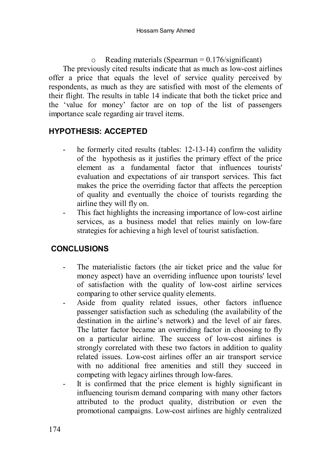$\circ$  Reading materials (Spearman = 0.176/significant) The previously cited results indicate that as much as low-cost airlines offer a price that equals the level of service quality perceived by respondents, as much as they are satisfied with most of the elements of their flight. The results in table 14 indicate that both the ticket price and the 'value for money' factor are on top of the list of passengers importance scale regarding air travel items.

## **HYPOTHESIS: ACCEPTED**

- he formerly cited results (tables: 12-13-14) confirm the validity of the hypothesis as it justifies the primary effect of the price element as a fundamental factor that influences tourists' evaluation and expectations of air transport services. This fact makes the price the overriding factor that affects the perception of quality and eventually the choice of tourists regarding the airline they will fly on.
- This fact highlights the increasing importance of low-cost airline services, as a business model that relies mainly on low-fare strategies for achieving a high level of tourist satisfaction.

## **CONCLUSIONS**

- The materialistic factors (the air ticket price and the value for money aspect) have an overriding influence upon tourists' level of satisfaction with the quality of low-cost airline services comparing to other service quality elements.
- Aside from quality related issues, other factors influence passenger satisfaction such as scheduling (the availability of the destination in the airline's network) and the level of air fares. The latter factor became an overriding factor in choosing to fly on a particular airline. The success of low-cost airlines is strongly correlated with these two factors in addition to quality related issues. Low-cost airlines offer an air transport service with no additional free amenities and still they succeed in competing with legacy airlines through low-fares.
- It is confirmed that the price element is highly significant in influencing tourism demand comparing with many other factors attributed to the product quality, distribution or even the promotional campaigns. Low-cost airlines are highly centralized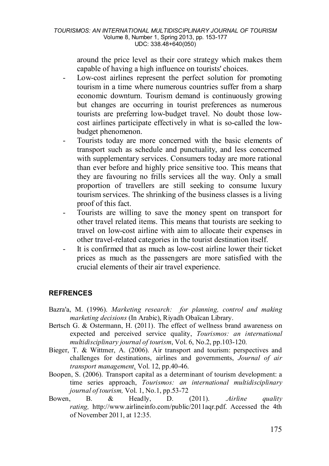around the price level as their core strategy which makes them capable of having a high influence on tourists' choices.

- Low-cost airlines represent the perfect solution for promoting tourism in a time where numerous countries suffer from a sharp economic downturn. Tourism demand is continuously growing but changes are occurring in tourist preferences as numerous tourists are preferring low-budget travel. No doubt those lowcost airlines participate effectively in what is so-called the lowbudget phenomenon.
- Tourists today are more concerned with the basic elements of transport such as schedule and punctuality, and less concerned with supplementary services. Consumers today are more rational than ever before and highly price sensitive too. This means that they are favouring no frills services all the way. Only a small proportion of travellers are still seeking to consume luxury tourism services. The shrinking of the business classes is a living proof of this fact.
- Tourists are willing to save the money spent on transport for other travel related items. This means that tourists are seeking to travel on low-cost airline with aim to allocate their expenses in other travel-related categories in the tourist destination itself.
- It is confirmed that as much as low-cost airline lower their ticket prices as much as the passengers are more satisfied with the crucial elements of their air travel experience.

#### **REFRENCES**

- Bazra'a, M. (1996). *Marketing research: for planning, control and making marketing decisions* (In Arabic), Riyadh Obaïcan Library.
- Bertsch G. & Ostermann, H. (2011). The effect of wellness brand awareness on expected and perceived service quality, *Tourismos: an international multidisciplinary journal of tourism*, Vol. 6, No.2, pp.103-120.
- Bieger, T. & Wittmer, A. (2006). Air transport and tourism: perspectives and challenges for destinations, airlines and governments, *Journal of air transport management,* Vol. 12, pp.40-46.
- Boopen, S. (2006). Transport capital as a determinant of tourism development: a time series approach, *Tourismos: an international multidisciplinary journal of tourism,* Vol. 1, No.1, pp.53-72
- Bowen, B. & Headly, D. (2011). .*Airline quality rating,* [http://www.airlineinfo.com/public/2011aqr.pdf.](http://www.airlineinfo.com/public/2011aqr.pdf) Accessed the 4th of November 2011, at 12:35.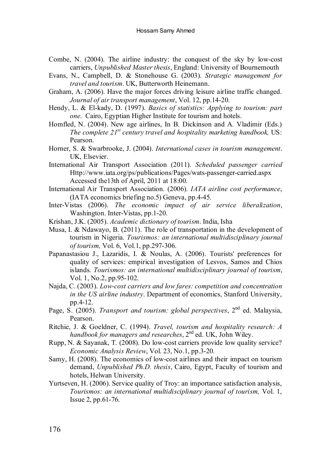- Combe, N. (2004). The airline industry: the conquest of the sky by low-cost carriers, *Unpublished Master thesis*, England: University of Bournemouth
- Evans, N., Campbell, D. & Stonehouse G. (2003). *Strategic management for travel and tourism*. UK, Butterworth Heinemann.
- Graham, A. (2006). Have the major forces driving leisure airline traffic changed. *Journal of air transport management*, Vol. 12, pp.14-20.
- Hendy, L. & El-kady, D. (1997). *Basics of statistics: Applying to tourism: part one.* Cairo, Egyptian Higher Institute for tourism and hotels.
- Homfled, N. (2004). New age airlines, In B. Dickinson and A*.* Vladimir (Eds.) *The complete 21st century travel and hospitality marketing handbook,* US: Pearson.
- Horner, S. & Swarbrooke, J. (2004). *International cases in tourism management*. UK, Elsevier.
- International Air Transport Association (2011). *Scheduled passenger carried* Http://www.iata.org/ps/publications/Pages/wats-passenger-carried.aspx Accessed the13th of April, 2011 at 18:00.
- International Air Transport Association. (2006). *IATA airline cost performance*, (IATA economics briefing no.5) Geneva, pp.4-45.
- Inter-Vistas (2006). *The economic impact of air service liberalization*, Washington. Inter-Vistas, pp.1-20.
- Krishan, J.K. (2005). *Academic dictionary of tourism*. India, Isha
- Musa, I. & Ndawayo, B. (2011). The role of transportation in the development of tourism in Nigeria. *Tourismos: an international multidisciplinary journal of tourism,* Vol. 6, Vol.1, pp.297-306.
- Papanastasiou J., Lazaridis, I. & Noulas, A. (2006). Tourists' preferences for quality of services: empirical investigation of Lesvos, Samos and Chios islands*. Tourismos: an international multidisciplinary journal of tourism*, Vol. 1, No.2, pp.95-102.
- Najda, C. (2003). *Low-cost carriers and low fares: competition and concentration in the US airline industry*. Department of economics, Stanford University, pp.4-12.
- Page, S. (2005). *Transport and tourism: global perspectives*, 2<sup>nd</sup> ed. Malaysia, Pearson.
- Ritchie, J. & Goeldner, C. (1994). *Travel, tourism and hospitality research: A handbook for managers and researches*, 2nd ed. UK, John Wiley.
- Rupp, N. & Sayanak, T. (2008). Do low-cost carriers provide low quality service? *Economic Analysis Review*, Vol. 23, No.1, pp.3-20.
- Samy, H. (2008). The economics of low-cost airlines and their impact on tourism demand, *Unpublished Ph.D. thesis*, Cairo, Egypt, Faculty of tourism and hotels, Helwan University.
- Yurtseven, H. (2006). Service quality of Troy: an importance satisfaction analysis, *Tourismos: an international multidisciplinary journal of tourism,* Vol. 1, Issue 2, pp.61-76.